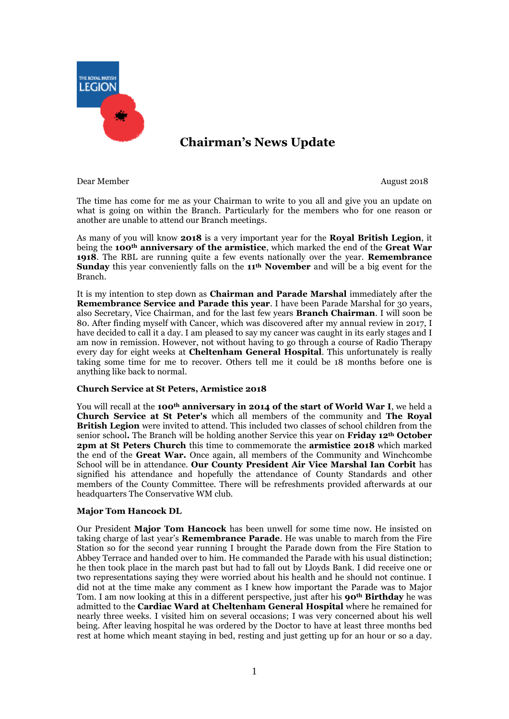

# **Chairman's News Update**

Dear Member August 2018

The time has come for me as your Chairman to write to you all and give you an update on what is going on within the Branch. Particularly for the members who for one reason or another are unable to attend our Branch meetings.

As many of you will know **2018** is a very important year for the **Royal British Legion**, it being the **100th anniversary of the armistice**, which marked the end of the **Great War 1918**. The RBL are running quite a few events nationally over the year. **Remembrance Sunday** this year conveniently falls on the **11th November** and will be a big event for the Branch.

It is my intention to step down as **Chairman and Parade Marshal** immediately after the **Remembrance Service and Parade this year**. I have been Parade Marshal for 30 years, also Secretary, Vice Chairman, and for the last few years **Branch Chairman**. I will soon be 80. After finding myself with Cancer, which was discovered after my annual review in 2017, I have decided to call it a day. I am pleased to say my cancer was caught in its early stages and I am now in remission. However, not without having to go through a course of Radio Therapy every day for eight weeks at **Cheltenham General Hospital**. This unfortunately is really taking some time for me to recover. Others tell me it could be 18 months before one is anything like back to normal.

# **Church Service at St Peters, Armistice 2018**

You will recall at the **100th anniversary in 2014 of the start of World War I**, we held a **Church Service at St Peter's** which all members of the community and **The Royal British Legion** were invited to attend. This included two classes of school children from the senior school**.** The Branch will be holding another Service this year on **Friday 12th October 2pm at St Peters Church** this time to commemorate the **armistice 2018** which marked the end of the **Great War.** Once again, all members of the Community and Winchcombe School will be in attendance. **Our County President Air Vice Marshal Ian Corbit** has signified his attendance and hopefully the attendance of County Standards and other members of the County Committee. There will be refreshments provided afterwards at our headquarters The Conservative WM club.

#### **Major Tom Hancock DL**

Our President **Major Tom Hancock** has been unwell for some time now. He insisted on taking charge of last year's **Remembrance Parade**. He was unable to march from the Fire Station so for the second year running I brought the Parade down from the Fire Station to Abbey Terrace and handed over to him. He commanded the Parade with his usual distinction; he then took place in the march past but had to fall out by Lloyds Bank. I did receive one or two representations saying they were worried about his health and he should not continue. I did not at the time make any comment as I knew how important the Parade was to Major Tom. I am now looking at this in a different perspective, just after his **90th Birthday** he was admitted to the **Cardiac Ward at Cheltenham General Hospital** where he remained for nearly three weeks. I visited him on several occasions; I was very concerned about his well being. After leaving hospital he was ordered by the Doctor to have at least three months bed rest at home which meant staying in bed, resting and just getting up for an hour or so a day.